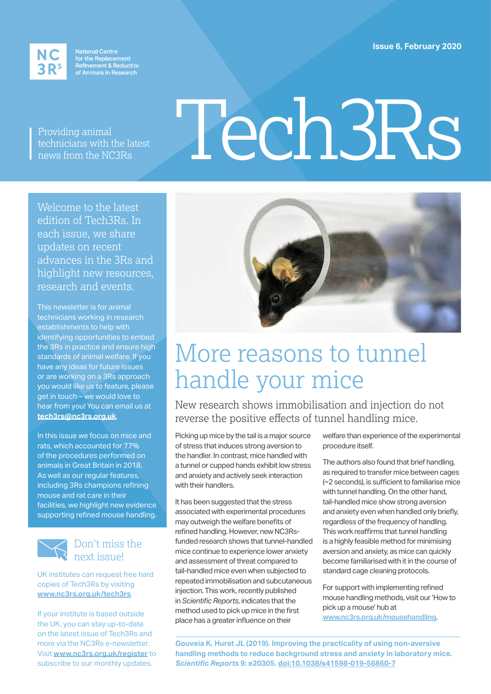**Issue 6, February 2020**



National Centre<br>for the Replacement<br>Refinement & Reduction<br>of Animals in Research

Providing animal technicians with the latest news from the NC3Rs

# Tech3Rs

Welcome to the latest edition of Tech3Rs. In each issue, we share updates on recent advances in the 3Rs and highlight new resources, research and events.

This newsletter is for animal technicians working in research establishments to help with identifying opportunities to embed the 3Rs in practice and ensure high standards of animal welfare. If you have any ideas for future issues or are working on a 3Rs approach you would like us to feature, please get in touch – we would love to hear from you! You can email us at **tech3rs@nc3rs.org.uk**.

In this issue we focus on mice and rats, which accounted for 77% of the procedures performed on animals in Great Britain in 2018. As well as our regular features, including 3Rs champions refining mouse and rat care in their facilities, we highlight new evidence supporting refined mouse handling.



### Don't miss the next issue!

UK institutes can request free hard copies of Tech3Rs by visiting **www.nc3rs.org.uk/tech3rs**.

If your institute is based outside the UK, you can stay up-to-date on the latest issue of Tech3Rs and more via the NC3Rs e-newsletter. Visit **www.nc3rs.org.uk/register** to subscribe to our monthly updates.



# More reasons to tunnel handle your mice

New research shows immobilisation and injection do not reverse the positive effects of tunnel handling mice.

Picking up mice by the tail is a major source of stress that induces strong aversion to the handler. In contrast, mice handled with a tunnel or cupped hands exhibit low stress and anxiety and actively seek interaction with their handlers.

It has been suggested that the stress associated with experimental procedures may outweigh the welfare benefits of refined handling. However, new NC3Rsfunded research shows that tunnel-handled mice continue to experience lower anxiety and assessment of threat compared to tail-handled mice even when subjected to repeated immobilisation and subcutaneous injection. This work, recently published in *Scientific Reports*, indicates that the method used to pick up mice in the first place has a greater influence on their

welfare than experience of the experimental procedure itself.

The authors also found that brief handling, as required to transfer mice between cages (~2 seconds), is sufficient to familiarise mice with tunnel handling. On the other hand, tail-handled mice show strong aversion and anxiety even when handled only briefly, regardless of the frequency of handling. This work reaffirms that tunnel handling is a highly feasible method for minimising aversion and anxiety, as mice can quickly become familiarised with it in the course of standard cage cleaning protocols.

For support with implementing refined mouse handling methods, visit our 'How to pick up a mouse' hub at **www.nc3rs.org.uk/mousehandling**.

**Gouveia K, Hurst JL (2019). Improving the practicality of using non-aversive handling methods to reduce background stress and anxiety in laboratory mice.**  *Scientific Reports* **9: e20305. doi:10.1038/s41598-019-56860-7**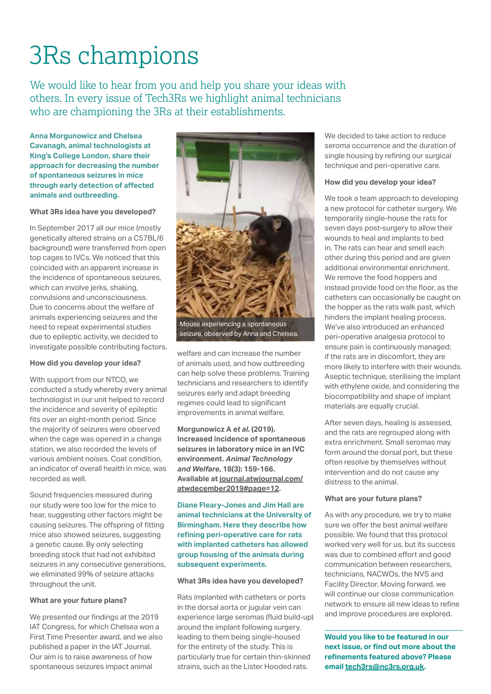# 3Rs champions

We would like to hear from you and help you share your ideas with others. In every issue of Tech3Rs we highlight animal technicians who are championing the 3Rs at their establishments.

**Anna Morgunowicz and Chelsea Cavanagh, animal technologists at King's College London, share their approach for decreasing the number of spontaneous seizures in mice through early detection of affected animals and outbreeding.**

### **What 3Rs idea have you developed?**

In September 2017 all our mice (mostly genetically altered strains on a C57BL/6 background) were transferred from open top cages to IVCs. We noticed that this coincided with an apparent increase in the incidence of spontaneous seizures, which can involve jerks, shaking, convulsions and unconsciousness. Due to concerns about the welfare of animals experiencing seizures and the need to repeat experimental studies due to epileptic activity, we decided to investigate possible contributing factors.

### **How did you develop your idea?**

With support from our NTCO, we conducted a study whereby every animal technologist in our unit helped to record the incidence and severity of epileptic fits over an eight-month period. Since the majority of seizures were observed when the cage was opened in a change station, we also recorded the levels of various ambient noises. Coat condition, an indicator of overall health in mice, was recorded as well.

Sound frequencies measured during our study were too low for the mice to hear, suggesting other factors might be causing seizures. The offspring of fitting mice also showed seizures, suggesting a genetic cause. By only selecting breeding stock that had not exhibited seizures in any consecutive generations, we eliminated 99% of seizure attacks throughout the unit.

### **What are your future plans?**

We presented our findings at the 2019 IAT Congress, for which Chelsea won a First Time Presenter award, and we also published a paper in the IAT Journal. Our aim is to raise awareness of how spontaneous seizures impact animal



welfare and can increase the number of animals used, and how outbreeding can help solve these problems. Training technicians and researchers to identify seizures early and adapt breeding regimes could lead to significant improvements in animal welfare.

**Morgunowicz A** *et al.* **(2019). Increased incidence of spontaneous seizures in laboratory mice in an IVC environment.** *Animal Technology and Welfare***, 18(3): 159-166. Available at journal.atwjournal.com/ atwdecember2019#page=12.**

**Diane Fleary-Jones and Jim Hall are animal technicians at the University of Birmingham. Here they describe how refining peri-operative care for rats with implanted catheters has allowed group housing of the animals during subsequent experiments.** 

### **What 3Rs idea have you developed?**

Rats implanted with catheters or ports in the dorsal aorta or jugular vein can experience large seromas (fluid build-up) around the implant following surgery, leading to them being single-housed for the entirety of the study. This is particularly true for certain thin-skinned strains, such as the Lister Hooded rats.

We decided to take action to reduce seroma occurrence and the duration of single housing by refining our surgical technique and peri-operative care.

### **How did you develop your idea?**

We took a team approach to developing a new protocol for catheter surgery. We temporarily single-house the rats for seven days post-surgery to allow their wounds to heal and implants to bed in. The rats can hear and smell each other during this period and are given additional environmental enrichment. We remove the food hoppers and instead provide food on the floor, as the catheters can occasionally be caught on the hopper as the rats walk past, which hinders the implant healing process. We've also introduced an enhanced peri‑operative analgesia protocol to ensure pain is continuously managed; if the rats are in discomfort, they are more likely to interfere with their wounds. Aseptic technique, sterilising the implant with ethylene oxide, and considering the biocompatibility and shape of implant materials are equally crucial.

After seven days, healing is assessed, and the rats are regrouped along with extra enrichment. Small seromas may form around the dorsal port, but these often resolve by themselves without intervention and do not cause any distress to the animal.

### **What are your future plans?**

As with any procedure, we try to make sure we offer the best animal welfare possible. We found that this protocol worked very well for us, but its success was due to combined effort and good communication between researchers, technicians, NACWOs, the NVS and Facility Director. Moving forward, we will continue our close communication network to ensure all new ideas to refine and improve procedures are explored.

**Would you like to be featured in our next issue, or find out more about the refinements featured above? Please email tech3rs@nc3rs.org.uk.**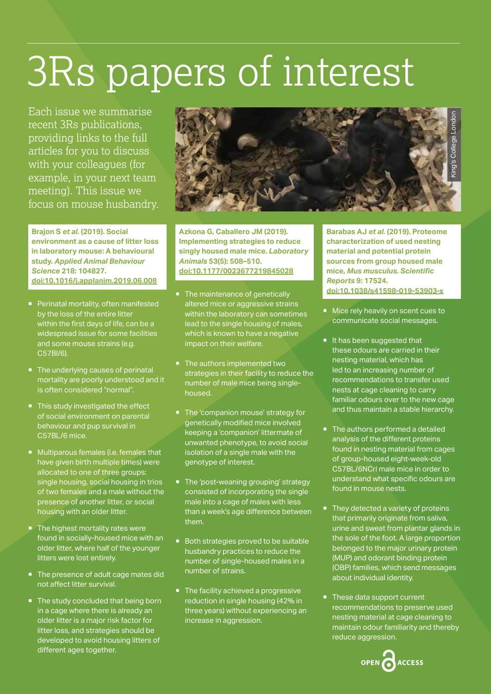# 3Rs papers of interest

Each issue we summarise recent 3Rs publications, providing links to the full articles for you to discuss with your colleagues (for example, in your next team meeting). This issue we focus on mouse husbandry.

**Brajon S** *et al.* **(2019). Social environment as a cause of litter loss in laboratory mouse: A behavioural study.** *Applied Animal Behaviour Science* **218: 104827. doi:10.1016/j.applanim.2019.06.008**

- **Perinatal mortality, often manifested** by the loss of the entire litter within the first days of life, can be a widespread issue for some facilities and some mouse strains (e.g. C57Bl/6).
- The underlying causes of perinatal mortality are poorly understood and it is often considered "normal".
- This study investigated the effect of social environment on parental behaviour and pup survival in C57BL/6 mice.
- **Multiparous females (i.e. females that** have given birth multiple times) were allocated to one of three groups: single housing, social housing in trios of two females and a male without the presence of another litter, or social housing with an older litter.
- **The highest mortality rates were** found in socially-housed mice with an older litter, where half of the younger litters were lost entirely.
- The presence of adult cage mates did not affect litter survival.
- The study concluded that being born in a cage where there is already an older litter is a major risk factor for litter loss, and strategies should be developed to avoid housing litters of different ages together.



**Azkona G, Caballero JM (2019). Implementing strategies to reduce singly housed male mice.** *Laboratory Animals* **53(5): 508–510. doi:10.1177/0023677219845028**

- The maintenance of genetically altered mice or aggressive strains within the laboratory can sometimes lead to the single housing of males, which is known to have a negative impact on their welfare.
- The authors implemented two strategies in their facility to reduce the number of male mice being singlehoused.
- The 'companion mouse' strategy for genetically modified mice involved keeping a 'companion' littermate of unwanted phenotype, to avoid social isolation of a single male with the genotype of interest.
- The 'post-weaning grouping' strategy consisted of incorporating the single male into a cage of males with less than a week's age difference between them.
- Both strategies proved to be suitable husbandry practices to reduce the number of single-housed males in a number of strains.
- The facility achieved a progressive reduction in single housing (42% in three years) without experiencing an increase in aggression.

**Barabas AJ** *et al.* **(2019). Proteome characterization of used nesting material and potential protein sources from group housed male mice,** *Mus musculus***.** *Scientific Reports* **9: 17524. doi:10.1038/s41598-019-53903-x**

- Mice rely heavily on scent cues to communicate social messages.
- It has been suggested that these odours are carried in their nesting material, which has led to an increasing number of recommendations to transfer used nests at cage cleaning to carry familiar odours over to the new cage and thus maintain a stable hierarchy.
- The authors performed a detailed analysis of the different proteins found in nesting material from cages of group-housed eight-week-old C57BL/6NCrl male mice in order to understand what specific odours are found in mouse nests.
- They detected a variety of proteins that primarily originate from saliva, urine and sweat from plantar glands in the sole of the foot. A large proportion belonged to the major urinary protein (MUP) and odorant binding protein (OBP) families, which send messages about individual identity.
- These data support current recommendations to preserve used nesting material at cage cleaning to maintain odour familiarity and thereby reduce aggression.

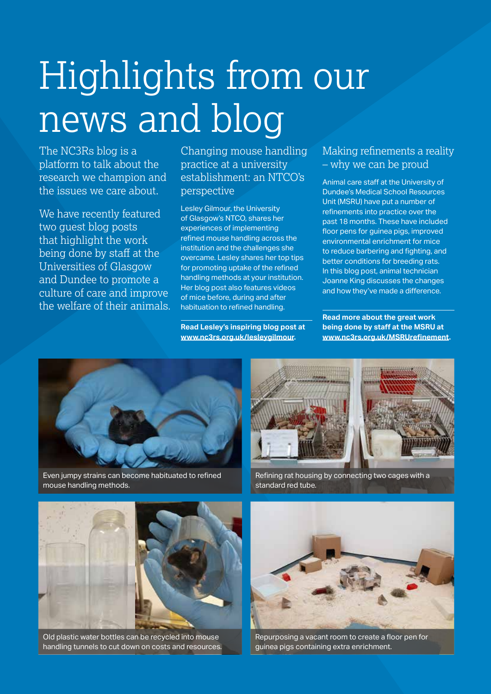# Highlights from our news and blog

The NC3Rs blog is a platform to talk about the research we champion and the issues we care about.

We have recently featured two guest blog posts that highlight the work being done by staff at the Universities of Glasgow and Dundee to promote a culture of care and improve the welfare of their animals. Changing mouse handling practice at a university establishment: an NTCO's perspective

Lesley Gilmour, the University of Glasgow's NTCO, shares her experiences of implementing refined mouse handling across the institution and the challenges she overcame. Lesley shares her top tips for promoting uptake of the refined handling methods at your institution. Her blog post also features videos of mice before, during and after habituation to refined handling.

**Read Lesley's inspiring blog post at www.nc3rs.org.uk/lesleygilmour.**

### Making refinements a reality – why we can be proud

Animal care staff at the University of Dundee's Medical School Resources Unit (MSRU) have put a number of refinements into practice over the past 18 months. These have included floor pens for guinea pigs, improved environmental enrichment for mice to reduce barbering and fighting, and better conditions for breeding rats. In this blog post, animal technician Joanne King discusses the changes and how they've made a difference.

**Read more about the great work being done by staff at the MSRU at www.nc3rs.org.uk/MSRUrefinement.**



Even jumpy strains can become habituated to refined mouse handling methods.



Refining rat housing by connecting two cages with a standard red tube.



Old plastic water bottles can be recycled into mouse handling tunnels to cut down on costs and resources.



Repurposing a vacant room to create a floor pen for guinea pigs containing extra enrichment.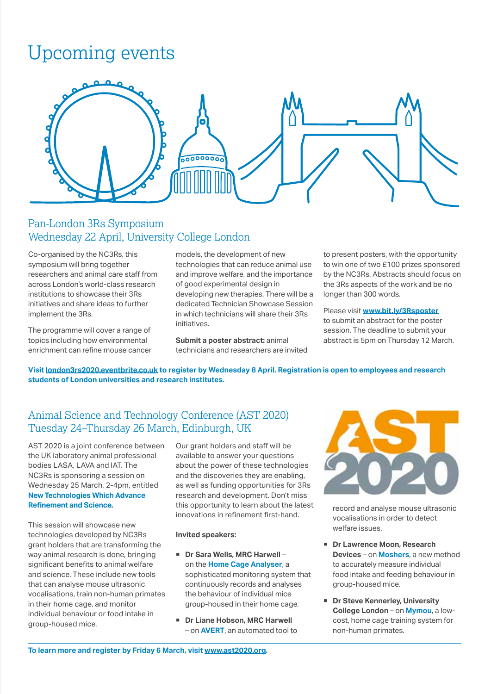### Upcoming events



### Pan-London 3Rs Symposium Wednesday 22 April, University College London

Co-organised by the NC3Rs, this symposium will bring together researchers and animal care staff from across London's world-class research institutions to showcase their 3Rs initiatives and share ideas to further implement the 3Rs.

The programme will cover a range of topics including how environmental enrichment can refine mouse cancer

models, the development of new technologies that can reduce animal use and improve welfare, and the importance of good experimental design in developing new therapies. There will be a dedicated Technician Showcase Session in which technicians will share their 3Rs initiatives.

**Submit a poster abstract:** animal technicians and researchers are invited to present posters, with the opportunity to win one of two £100 prizes sponsored by the NC3Rs. Abstracts should focus on the 3Rs aspects of the work and be no longer than 300 words.

Please visit **www.bit.ly/3Rsposter** to submit an abstract for the poster session. The deadline to submit your abstract is 5pm on Thursday 12 March.

**Visit london3rs2020.eventbrite.co.uk to register by Wednesday 8 April. Registration is open to employees and research students of London universities and research institutes.**

### Animal Science and Technology Conference (AST 2020) Tuesday 24–Thursday 26 March, Edinburgh, UK

AST 2020 is a joint conference between the UK laboratory animal professional bodies LASA, LAVA and IAT. The NC3Rs is sponsoring a session on Wednesday 25 March, 2-4pm, entitled **New Technologies Which Advance Refinement and Science.**

This session will showcase new technologies developed by NC3Rs grant holders that are transforming the way animal research is done, bringing significant benefits to animal welfare and science. These include new tools that can analyse mouse ultrasonic vocalisations, train non-human primates in their home cage, and monitor individual behaviour or food intake in group-housed mice.

Our grant holders and staff will be available to answer your questions about the power of these technologies and the discoveries they are enabling, as well as funding opportunities for 3Rs research and development. Don't miss this opportunity to learn about the latest innovations in refinement first-hand.

#### **Invited speakers:**

- Dr Sara Wells, MRC Harwell on the **Home Cage Analyser**, a sophisticated monitoring system that continuously records and analyses the behaviour of individual mice group-housed in their home cage.
- **Dr Liane Hobson, MRC Harwell**  – on **AVERT**, an automated tool to



record and analyse mouse ultrasonic vocalisations in order to detect welfare issues.

- Dr Lawrence Moon, Research **Devices** – on **Moshers**, a new method to accurately measure individual food intake and feeding behaviour in group-housed mice.
- **Dr Steve Kennerley, University College London** – on **Mymou**, a lowcost, home cage training system for non-human primates.